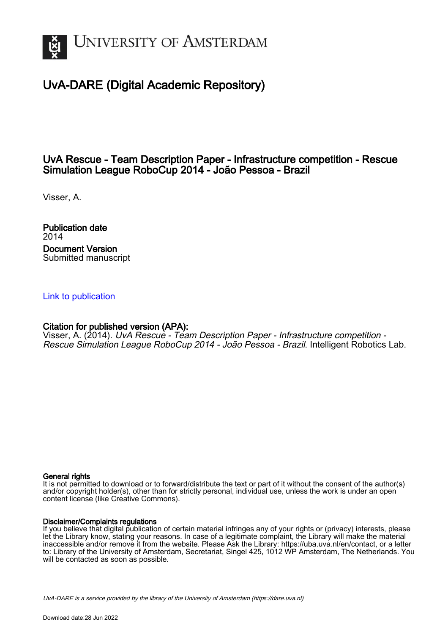

# UvA-DARE (Digital Academic Repository)

## UvA Rescue - Team Description Paper - Infrastructure competition - Rescue Simulation League RoboCup 2014 - João Pessoa - Brazil

Visser, A.

Publication date 2014 Document Version Submitted manuscript

## [Link to publication](https://dare.uva.nl/personal/pure/en/publications/uva-rescue--team-description-paper--infrastructure-competition--rescue-simulation-league-robocup-2014--joao-pessoa--brazil(d91ecb53-559a-4aee-9f81-c9f3396ec09b).html)

## Citation for published version (APA):

Visser, A. (2014). UvA Rescue - Team Description Paper - Infrastructure competition -Rescue Simulation League RoboCup 2014 - João Pessoa - Brazil. Intelligent Robotics Lab.

#### General rights

It is not permitted to download or to forward/distribute the text or part of it without the consent of the author(s) and/or copyright holder(s), other than for strictly personal, individual use, unless the work is under an open content license (like Creative Commons).

#### Disclaimer/Complaints regulations

If you believe that digital publication of certain material infringes any of your rights or (privacy) interests, please let the Library know, stating your reasons. In case of a legitimate complaint, the Library will make the material inaccessible and/or remove it from the website. Please Ask the Library: https://uba.uva.nl/en/contact, or a letter to: Library of the University of Amsterdam, Secretariat, Singel 425, 1012 WP Amsterdam, The Netherlands. You will be contacted as soon as possible.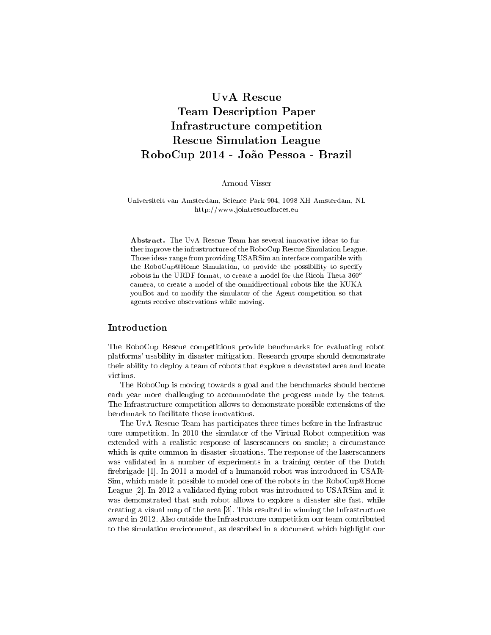## UvA Rescue Team Description Paper Infrastructure competition Rescue Simulation League RoboCup 2014 - João Pessoa - Brazil

Arnoud Visser

#### Universiteit van Amsterdam, Science Park 904, 1098 XH Amsterdam, NL http://www.jointrescueforces.eu

Abstract. The UvA Rescue Team has several innovative ideas to further improve the infrastructure of the RoboCup Rescue Simulation League. Those ideas range from providing USARSim an interface compatible with the RoboCup@Home Simulation, to provide the possibility to specify robots in the URDF format, to create a model for the Ricoh Theta  $360^{\circ}$ camera, to create a model of the omnidirectional robots like the KUKA youBot and to modify the simulator of the Agent competition so that agents receive observations while moving.

#### Introduction

The RoboCup Rescue competitions provide benchmarks for evaluating robot platforms' usability in disaster mitigation. Research groups should demonstrate their ability to deploy a team of robots that explore a devastated area and locate victims.

The RoboCup is moving towards a goal and the benchmarks should become each year more challenging to accommodate the progress made by the teams. The Infrastructure competition allows to demonstrate possible extensions of the benchmark to facilitate those innovations.

The UvA Rescue Team has participates three times before in the Infrastructure competition. In 2010 the simulator of the Virtual Robot competition was extended with a realistic response of laserscanners on smoke; a circumstance which is quite common in disaster situations. The response of the laserscanners was validated in a number of experiments in a training center of the Dutch firebrigade [1]. In 2011 a model of a humanoid robot was introduced in USAR-Sim, which made it possible to model one of the robots in the RoboCup@Home League  $[2]$ . In 2012 a validated flying robot was introduced to USARSim and it was demonstrated that such robot allows to explore a disaster site fast, while creating a visual map of the area [3]. This resulted in winning the Infrastructure award in 2012. Also outside the Infrastructure competition our team contributed to the simulation environment, as described in a document which highlight our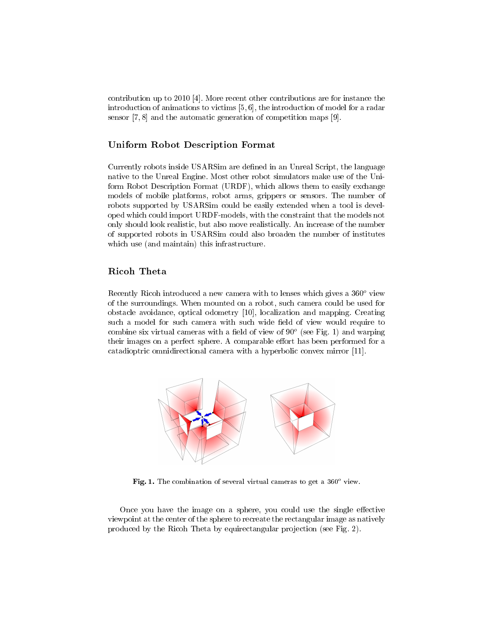contribution up to 2010 [4]. More recent other contributions are for instance the introduction of animations to victims [5, 6], the introduction of model for a radar sensor [7, 8] and the automatic generation of competition maps [9].

## Uniform Robot Description Format

Currently robots inside USARS im are defined in an Unreal Script, the language native to the Unreal Engine. Most other robot simulators make use of the Uniform Robot Description Format (URDF), which allows them to easily exchange models of mobile platforms, robot arms, grippers or sensors. The number of robots supported by USARSim could be easily extended when a tool is developed which could import URDF-models, with the constraint that the models not only should look realistic, but also move realistically. An increase of the number of supported robots in USARSim could also broaden the number of institutes which use (and maintain) this infrastructure.

### Ricoh Theta

Recently Ricoh introduced a new camera with to lenses which gives a  $360^{\circ}$  view of the surroundings. When mounted on a robot, such camera could be used for obstacle avoidance, optical odometry [10], localization and mapping. Creating such a model for such camera with such wide field of view would require to combine six virtual cameras with a field of view of  $90^{\circ}$  (see Fig. 1) and warping their images on a perfect sphere. A comparable effort has been performed for a catadioptric omnidirectional camera with a hyperbolic convex mirror [11].



Fig. 1. The combination of several virtual cameras to get a  $360^{\circ}$  view.

Once you have the image on a sphere, you could use the single effective viewpoint at the center of the sphere to recreate the rectangular image as natively produced by the Ricoh Theta by equirectangular projection (see Fig. 2).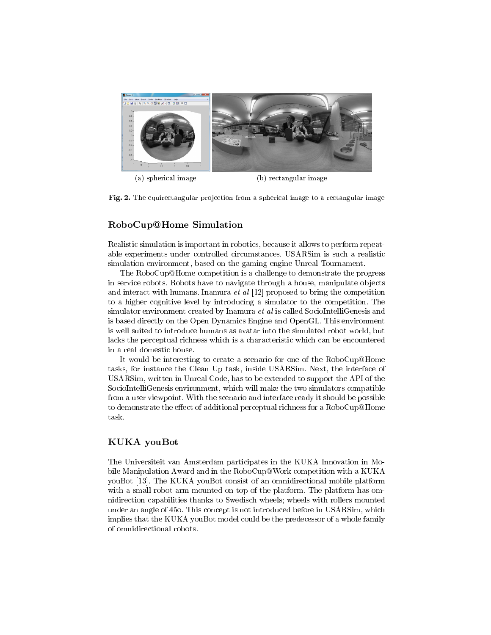

(a) spherical image (b) rectangular image



## RoboCup@Home Simulation

Realistic simulation is important in robotics, because it allows to perform repeatable experiments under controlled circumstances. USARSim is such a realistic simulation environment, based on the gaming engine Unreal Tournament.

The RoboCup@Home competition is a challenge to demonstrate the progress in service robots. Robots have to navigate through a house, manipulate objects and interact with humans. Inamura et al [12] proposed to bring the competition to a higher cognitive level by introducing a simulator to the competition. The simulator environment created by Inamura et al is called SocioIntelliGenesis and is based directly on the Open Dynamics Engine and OpenGL. This environment is well suited to introduce humans as avatar into the simulated robot world, but lacks the perceptual richness which is a characteristic which can be encountered in a real domestic house.

It would be interesting to create a scenario for one of the RoboCup@Home tasks, for instance the Clean Up task, inside USARSim. Next, the interface of USARSim, written in Unreal Code, has to be extended to support the API of the SocioIntelliGenesis environment, which will make the two simulators compatible from a user viewpoint. With the scenario and interface ready it should be possible to demonstrate the effect of additional perceptual richness for a  $RoboCup@Home$ task.

### KUKA youBot

The Universiteit van Amsterdam participates in the KUKA Innovation in Mobile Manipulation Award and in the RoboCup@Work competition with a KUKA youBot [13]. The KUKA youBot consist of an omnidirectional mobile platform with a small robot arm mounted on top of the platform. The platform has omnidirection capabilities thanks to Swedisch wheels; wheels with rollers mounted under an angle of 45o. This concept is not introduced before in USARSim, which implies that the KUKA youBot model could be the predecessor of a whole family of omnidirectional robots.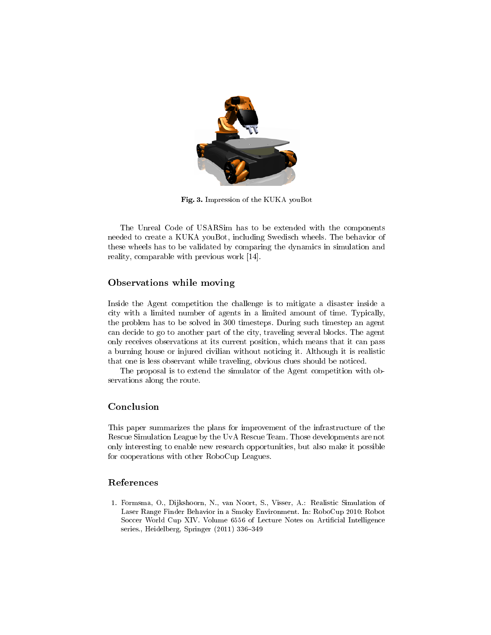

Fig. 3. Impression of the KUKA youBot

The Unreal Code of USARSim has to be extended with the components needed to create a KUKA youBot, including Swedisch wheels. The behavior of these wheels has to be validated by comparing the dynamics in simulation and reality, comparable with previous work [14].

## Observations while moving

Inside the Agent competition the challenge is to mitigate a disaster inside a city with a limited number of agents in a limited amount of time. Typically, the problem has to be solved in 300 timesteps. During such timestep an agent can decide to go to another part of the city, traveling several blocks. The agent only receives observations at its current position, which means that it can pass a burning house or injured civilian without noticing it. Although it is realistic that one is less observant while traveling, obvious clues should be noticed.

The proposal is to extend the simulator of the Agent competition with observations along the route.

## Conclusion

This paper summarizes the plans for improvement of the infrastructure of the Rescue Simulation League by the UvA Rescue Team. Those developments are not only interesting to enable new research opportunities, but also make it possible for cooperations with other RoboCup Leagues.

## References

1. Formsma, O., Dijkshoorn, N., van Noort, S., Visser, A.: Realistic Simulation of Laser Range Finder Behavior in a Smoky Environment. In: RoboCup 2010: Robot Soccer World Cup XIV. Volume 6556 of Lecture Notes on Articial Intelligence series., Heidelberg, Springer (2011) 336-349